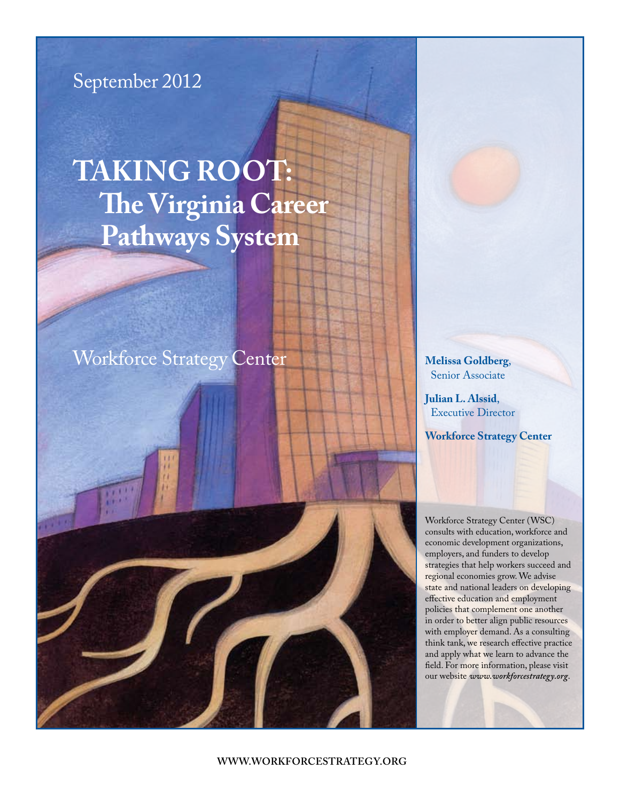

# **Taking Root: The Virginia Career Pathways System**

# [Workforce Strategy Center](www.workforcestrategy.org) **Melissa Goldberg**,

Senior Associate

**Julian L. Alssid**, Executive Director

**[Workforce Strategy Center](www.workforcestrategy.org)**

Workforce Strategy Center (WSC) consults with education, workforce and economic development organizations, employers, and funders to develop strategies that help workers succeed and regional economies grow. We advise state and national leaders on developing effective education and employment policies that complement one another in order to better align public resources with employer demand. As a consulting think tank, we research effective practice and apply what we learn to advance the field. For more information, please visit our website *www.workforcestrategy.org*.

**www.workforcestrategy.org**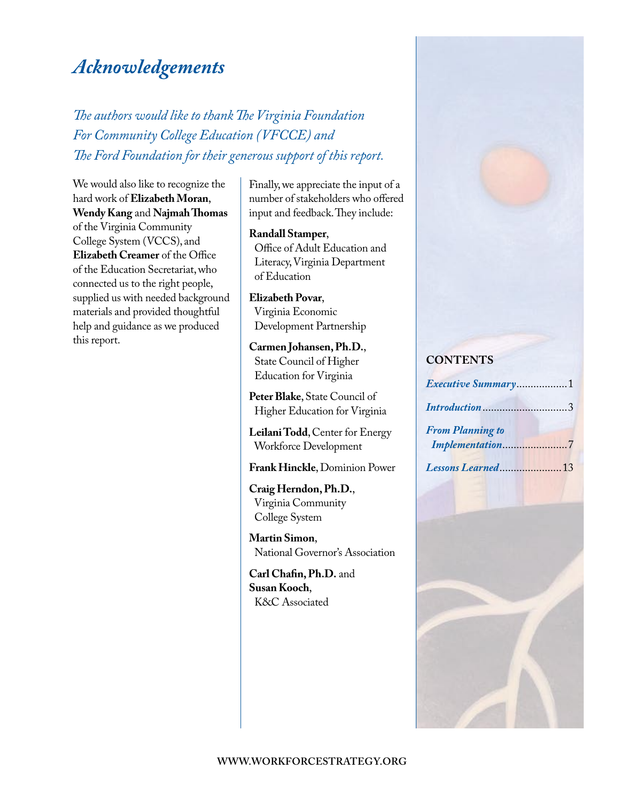# *Acknowledgements*

*The authors would like to thank The Virginia Foundation For Community College Education (VFCCE) and The Ford Foundation for their generous support of this report.* 

### We would also like to recognize the hard work of **elizabeth Moran**, **Wendy Kang** and **Najmah Thomas**

of the Virginia Community College System (VCCS), and **elizabeth Creamer** of the Office of the Education Secretariat, who connected us to the right people, supplied us with needed background materials and provided thoughtful help and guidance as we produced this report.

Finally, we appreciate the input of a number of stakeholders who offered input and feedback. They include:

#### **Randall Stamper**,

Office of Adult Education and Literacy, Virginia Department of Education

**elizabeth Povar**, Virginia Economic Development Partnership

**Carmen Johansen, Ph.D.**, State Council of Higher Education for Virginia

**Peter Blake**, State Council of Higher Education for Virginia

**Leilani Todd**, Center for Energy Workforce Development

**Frank Hinckle**, Dominion Power

**Craig Herndon, Ph.D.**, Virginia Community College System

**Martin Simon**, National Governor's Association

**Carl Chafin, Ph.D.** and **Susan kooch**, K&C Associated

### **ConTenTS**

| Executive Summary1      |  |
|-------------------------|--|
| Introduction3           |  |
| <b>From Planning to</b> |  |
| Implementation7         |  |
| Lessons Learned13       |  |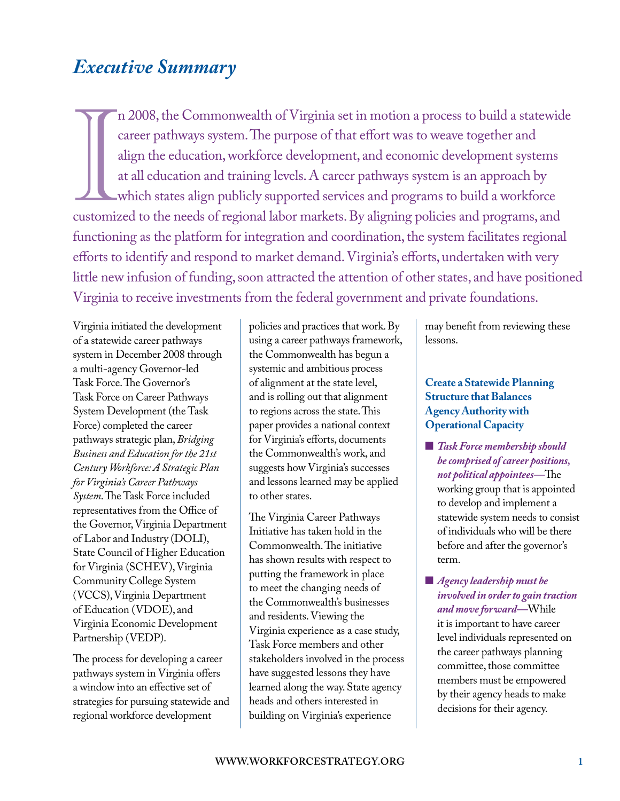## <span id="page-2-0"></span>*Executive Summary*

Im 2008, the Commonwealth of Virginia set in motion a process to build a statewide career pathways system. The purpose of that effort was to weave together and align the education, workforce development, and economic devel n 2008, the Commonwealth of Virginia set in motion a process to build a statewide career pathways system. The purpose of that effort was to weave together and align the education, workforce development, and economic development systems at all education and training levels. A career pathways system is an approach by which states align publicly supported services and programs to build a workforce functioning as the platform for integration and coordination, the system facilitates regional efforts to identify and respond to market demand. Virginia's efforts, undertaken with very little new infusion of funding, soon attracted the attention of other states, and have positioned Virginia to receive investments from the federal government and private foundations.

Virginia initiated the development of a statewide career pathways system in December 2008 through a multi-agency Governor-led Task Force. The Governor's Task Force on Career Pathways System Development (the Task Force) completed the career pathways strategic plan, *Bridging Business and Education for the 21st Century Workforce: A Strategic Plan for Virginia's Career Pathways System*. The Task Force included representatives from the Office of the Governor, Virginia Department of Labor and Industry (DOLI), State Council of Higher Education for Virginia (SCHEV), Virginia Community College System (VCCS), Virginia Department of Education (VDOE), and Virginia Economic Development Partnership (VEDP).

The process for developing a career pathways system in Virginia offers a window into an effective set of strategies for pursuing statewide and regional workforce development

policies and practices that work. By using a career pathways framework, the Commonwealth has begun a systemic and ambitious process of alignment at the state level, and is rolling out that alignment to regions across the state. This paper provides a national context for Virginia's efforts, documents the Commonwealth's work, and suggests how Virginia's successes and lessons learned may be applied to other states.

The Virginia Career Pathways Initiative has taken hold in the Commonwealth. The initiative has shown results with respect to putting the framework in place to meet the changing needs of the Commonwealth's businesses and residents. Viewing the Virginia experience as a case study, Task Force members and other stakeholders involved in the process have suggested lessons they have learned along the way. State agency heads and others interested in building on Virginia's experience

may benefit from reviewing these lessons.

### **Create a Statewide Planning Structure that Balances Agency Authority with Operational Capacity**

- **n** *Task Force membership should be comprised of career positions, not political appointees—*The working group that is appointed to develop and implement a statewide system needs to consist of individuals who will be there before and after the governor's term.
- **n** *Agency leadership must be involved in order to gain traction and move forward—*While it is important to have career level individuals represented on the career pathways planning committee, those committee members must be empowered by their agency heads to make decisions for their agency.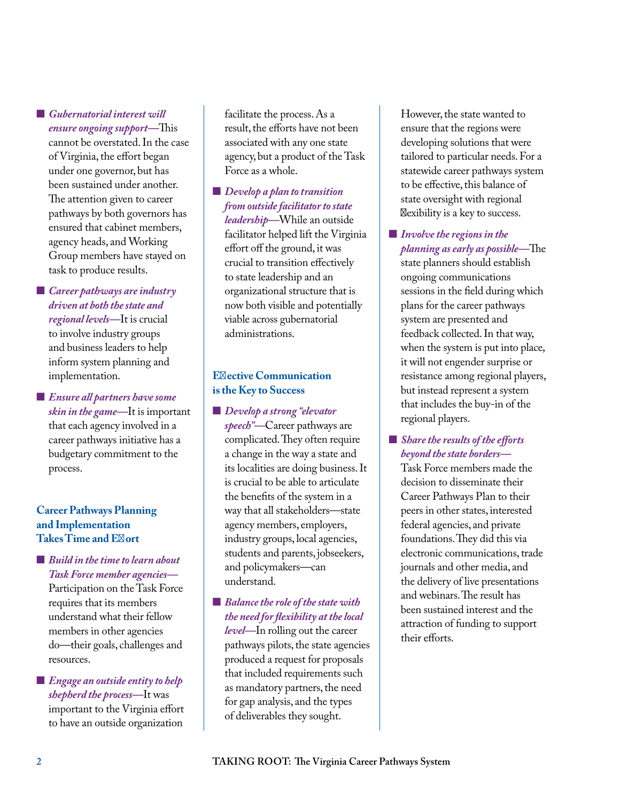**n** *Gubernatorial interest will ensure ongoing support—*This cannot be overstated. In the case of Virginia, the effort began under one governor, but has been sustained under another. The attention given to career pathways by both governors has ensured that cabinet members, agency heads, and Working Group members have stayed on task to produce results.

**n** *Career pathways are industry driven at both the state and regional levels—*It is crucial to involve industry groups and business leaders to help inform system planning and implementation.

**E** Ensure all partners have some *skin in the game—*It is important that each agency involved in a career pathways initiative has a budgetary commitment to the process.

### **Career Pathways Planning and Implementation Takes Time and Ef ort**

■ *Build in the time to learn about Task Force member agencies—*

Participation on the Task Force requires that its members understand what their fellow members in other agencies do—their goals, challenges and resources.

**Engage an outside entity to help** *shepherd the process—*It was important to the Virginia effort to have an outside organization

facilitate the process. As a result, the efforts have not been associated with any one state agency, but a product of the Task Force as a whole.

■ *Develop a plan to transition from outside facilitator to state leadership—*While an outside facilitator helped lift the Virginia effort off the ground, it was crucial to transition effectively to state leadership and an organizational structure that is now both visible and potentially viable across gubernatorial administrations.

### **Ef** ective Communication **is the Key to Success**

- **n** *Develop a strong "elevator speech"—*Career pathways are complicated. They often require a change in the way a state and its localities are doing business. It is crucial to be able to articulate the benefits of the system in a way that all stakeholders—state agency members, employers, industry groups, local agencies, students and parents, jobseekers, and policymakers—can understand.
- **n** *Balance the role of the state with the need for flexibility at the local level—*In rolling out the career pathways pilots, the state agencies produced a request for proposals that included requirements such as mandatory partners, the need for gap analysis, and the types of deliverables they sought.

However, the state wanted to ensure that the regions were developing solutions that were tailored to particular needs. For a statewide career pathways system to be effective, this balance of state oversight with regional f exibility is a key to success.

**n** *Involve the regions in the planning as early as possible—*The state planners should establish ongoing communications sessions in the field during which plans for the career pathways system are presented and feedback collected. In that way, when the system is put into place, it will not engender surprise or resistance among regional players, but instead represent a system that includes the buy-in of the regional players.

### ■ *Share the results of the efforts beyond the state borders—*

Task Force members made the decision to disseminate their Career Pathways Plan to their peers in other states, interested federal agencies, and private foundations. They did this via electronic communications, trade journals and other media, and the delivery of live presentations and webinars. The result has been sustained interest and the attraction of funding to support their efforts.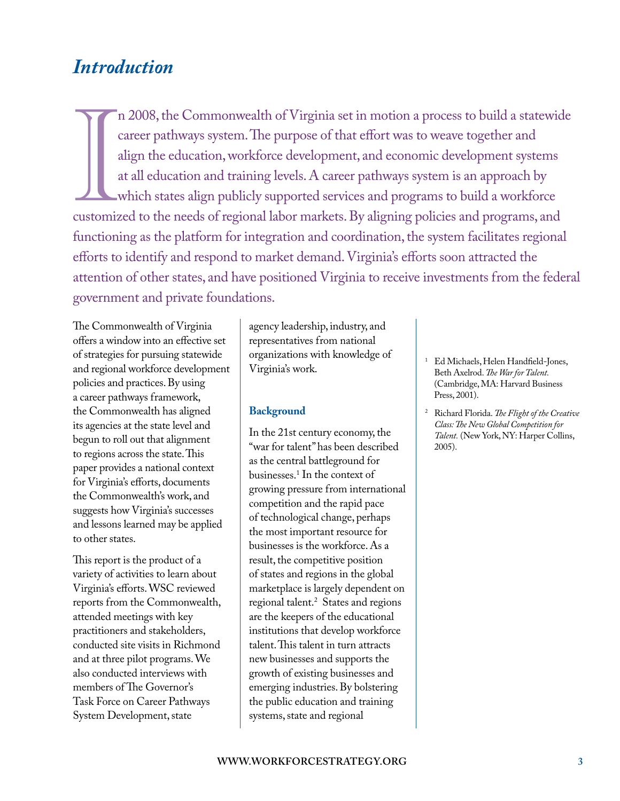### <span id="page-4-0"></span>*Introduction*

Im 2008, the Commonwealth of Virginia set in motion a process to build a statewide career pathways system. The purpose of that effort was to weave together and align the education, workforce development, and economic devel n 2008, the Commonwealth of Virginia set in motion a process to build a statewide career pathways system. The purpose of that effort was to weave together and align the education, workforce development, and economic development systems at all education and training levels. A career pathways system is an approach by which states align publicly supported services and programs to build a workforce functioning as the platform for integration and coordination, the system facilitates regional efforts to identify and respond to market demand. Virginia's efforts soon attracted the attention of other states, and have positioned Virginia to receive investments from the federal government and private foundations.

The Commonwealth of Virginia offers a window into an effective set of strategies for pursuing statewide and regional workforce development policies and practices. By using a career pathways framework, the Commonwealth has aligned its agencies at the state level and begun to roll out that alignment to regions across the state. This paper provides a national context for Virginia's efforts, documents the Commonwealth's work, and suggests how Virginia's successes and lessons learned may be applied to other states.

This report is the product of a variety of activities to learn about Virginia's efforts. WSC reviewed reports from the Commonwealth, attended meetings with key practitioners and stakeholders, conducted site visits in Richmond and at three pilot programs. We also conducted interviews with members of The Governor's Task Force on Career Pathways System Development, state

agency leadership, industry, and representatives from national organizations with knowledge of Virginia's work.

#### **Background**

In the 21st century economy, the "war for talent" has been described as the central battleground for businesses.1 In the context of growing pressure from international competition and the rapid pace of technological change, perhaps the most important resource for businesses is the workforce. As a result, the competitive position of states and regions in the global marketplace is largely dependent on regional talent.2 States and regions are the keepers of the educational institutions that develop workforce talent. This talent in turn attracts new businesses and supports the growth of existing businesses and emerging industries. By bolstering the public education and training systems, state and regional

- 1 Ed Michaels, Helen Handfield-Jones, Beth Axelrod. *The War for Talent.* (Cambridge, MA: Harvard Business Press, 2001).
- 2 Richard Florida. *The Flight of the Creative Class: The New Global Competition for Talent.* (New York, NY: Harper Collins, 2005).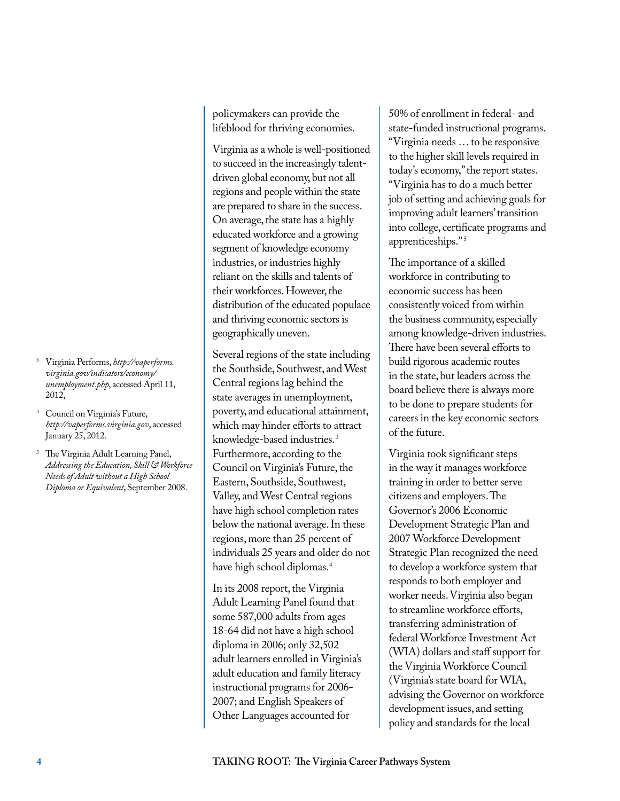- <sup>3</sup> Virginia Performs, *http://vaperforms. [virginia.gov/indicators/economy/](http://vaperforms.virginia.gov/indicators/economy/unemployment.php) unemployment.php*, accessed April 11, 2012,
- <sup>4</sup> Council on Virginia's Future, *http://vaperforms.virginia.gov*, accessed January 25, 2012.
- <sup>5</sup> The Virginia Adult Learning Panel, *Addressing the Education, Skill & Workforce Needs of Adult without a High School Diploma or Equivalent*, September 2008.

policymakers can provide the lifeblood for thriving economies.

Virginia as a whole is well-positioned to succeed in the increasingly talentdriven global economy, but not all regions and people within the state are prepared to share in the success. On average, the state has a highly educated workforce and a growing segment of knowledge economy industries, or industries highly reliant on the skills and talents of their workforces. However, the distribution of the educated populace and thriving economic sectors is geographically uneven.

Several regions of the state including the Southside, Southwest, and West Central regions lag behind the state averages in unemployment, poverty, and educational attainment, which may hinder efforts to attract knowledge-based industries. 3 Furthermore, according to the Council on Virginia's Future, the Eastern, Southside, Southwest, Valley, and West Central regions have high school completion rates below the national average. In these regions, more than 25 percent of individuals 25 years and older do not have high school diplomas.4

In its 2008 report, the Virginia Adult Learning Panel found that some 587,000 adults from ages 18-64 did not have a high school diploma in 2006; only 32,502 adult learners enrolled in Virginia's adult education and family literacy instructional programs for 2006- 2007; and English Speakers of Other Languages accounted for

50% of enrollment in federal- and state-funded instructional programs. "Virginia needs … to be responsive to the higher skill levels required in today's economy," the report states. "Virginia has to do a much better job of setting and achieving goals for improving adult learners' transition into college, certificate programs and apprenticeships." 5

The importance of a skilled workforce in contributing to economic success has been consistently voiced from within the business community, especially among knowledge-driven industries. There have been several efforts to build rigorous academic routes in the state, but leaders across the board believe there is always more to be done to prepare students for careers in the key economic sectors of the future.

Virginia took significant steps in the way it manages workforce training in order to better serve citizens and employers. The Governor's 2006 Economic Development Strategic Plan and 2007 Workforce Development Strategic Plan recognized the need to develop a workforce system that responds to both employer and worker needs. Virginia also began to streamline workforce efforts, transferring administration of federal Workforce Investment Act (WIA) dollars and staff support for the Virginia Workforce Council (Virginia's state board for WIA, advising the Governor on workforce development issues, and setting policy and standards for the local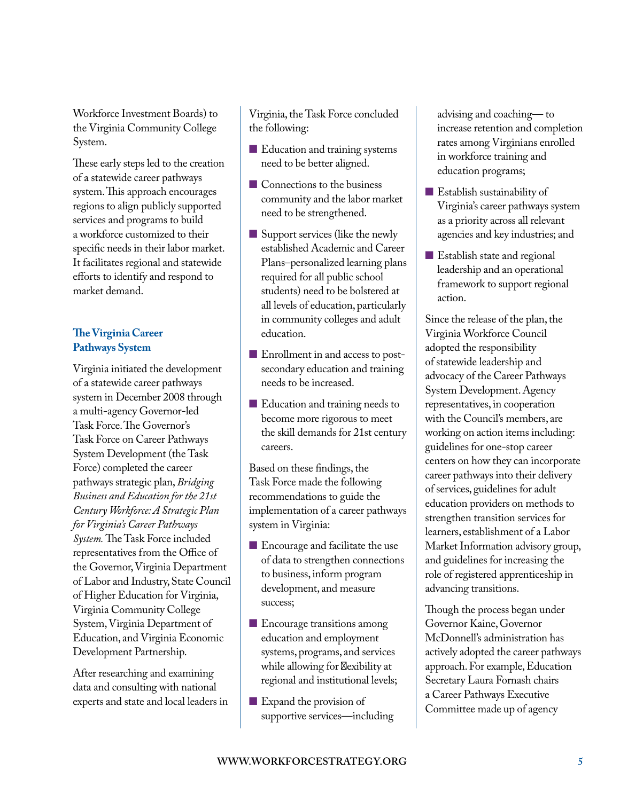Workforce Investment Boards) to the Virginia Community College System.

These early steps led to the creation of a statewide career pathways system. This approach encourages regions to align publicly supported services and programs to build a workforce customized to their specific needs in their labor market. It facilitates regional and statewide efforts to identify and respond to market demand.

### **The Virginia Career Pathways System**

Virginia initiated the development of a statewide career pathways system in December 2008 through a multi-agency Governor-led Task Force. The Governor's Task Force on Career Pathways System Development (the Task Force) completed the career pathways strategic plan, *Bridging Business and Education for the 21st Century Workforce: A Strategic Plan for Virginia's Career Pathways System.* The Task Force included representatives from the Office of the Governor, Virginia Department of Labor and Industry, State Council of Higher Education for Virginia, Virginia Community College System, Virginia Department of Education, and Virginia Economic Development Partnership.

After researching and examining data and consulting with national experts and state and local leaders in

Virginia, the Task Force concluded the following:

- Education and training systems need to be better aligned.
- $\blacksquare$  Connections to the business community and the labor market need to be strengthened.
- $\blacksquare$  Support services (like the newly established Academic and Career Plans–personalized learning plans required for all public school students) need to be bolstered at all levels of education, particularly in community colleges and adult education.
- Enrollment in and access to postsecondary education and training needs to be increased.
- $\blacksquare$  Education and training needs to become more rigorous to meet the skill demands for 21st century careers.

Based on these findings, the Task Force made the following recommendations to guide the implementation of a career pathways system in Virginia:

- $\blacksquare$  Encourage and facilitate the use of data to strengthen connections to business, inform program development, and measure success;
- **n** Encourage transitions among education and employment systems, programs, and services while allowing for f exibility at regional and institutional levels;
- $\blacksquare$  Expand the provision of supportive services—including

advising and coaching— to increase retention and completion rates among Virginians enrolled in workforce training and education programs;

- $\blacksquare$  Establish sustainability of Virginia's career pathways system as a priority across all relevant agencies and key industries; and
- Establish state and regional leadership and an operational framework to support regional action.

Since the release of the plan, the Virginia Workforce Council adopted the responsibility of statewide leadership and advocacy of the Career Pathways System Development. Agency representatives, in cooperation with the Council's members, are working on action items including: guidelines for one-stop career centers on how they can incorporate career pathways into their delivery of services, guidelines for adult education providers on methods to strengthen transition services for learners, establishment of a Labor Market Information advisory group, and guidelines for increasing the role of registered apprenticeship in advancing transitions.

Though the process began under Governor Kaine, Governor McDonnell's administration has actively adopted the career pathways approach. For example, Education Secretary Laura Fornash chairs a Career Pathways Executive Committee made up of agency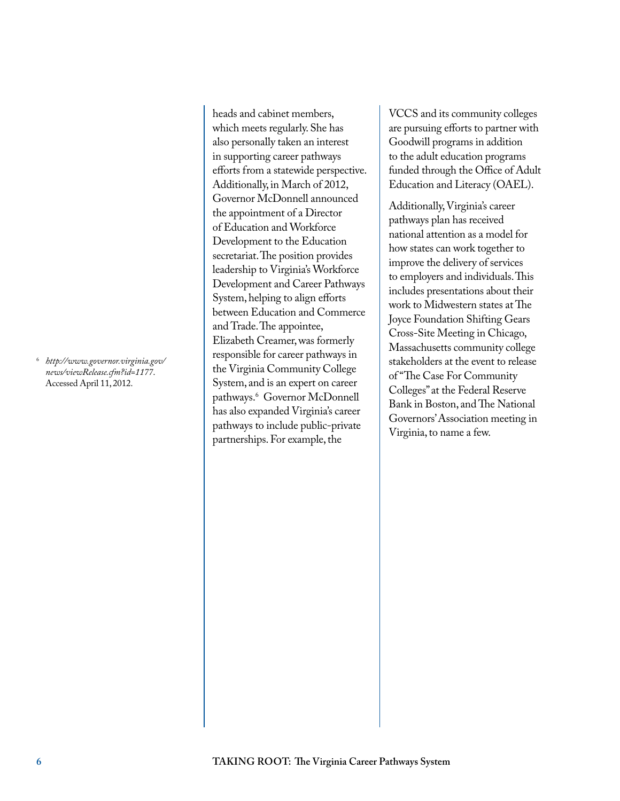<sup>6</sup> *[http://www.governor.virginia.gov/](http://www.governor.virginia.gov/news/viewRelease.cfm?id=1177) news/viewRelease.cfm?id=1177*. Accessed April 11, 2012.

heads and cabinet members, which meets regularly. She has also personally taken an interest in supporting career pathways efforts from a statewide perspective. Additionally, in March of 2012, Governor McDonnell announced the appointment of a Director of Education and Workforce Development to the Education secretariat. The position provides leadership to Virginia's Workforce Development and Career Pathways System, helping to align efforts between Education and Commerce and Trade. The appointee, Elizabeth Creamer, was formerly responsible for career pathways in the Virginia Community College System, and is an expert on career pathways.6 Governor McDonnell has also expanded Virginia's career pathways to include public-private partnerships. For example, the

VCCS and its community colleges are pursuing efforts to partner with Goodwill programs in addition to the adult education programs funded through the Office of Adult Education and Literacy (OAEL).

Additionally, Virginia's career pathways plan has received national attention as a model for how states can work together to improve the delivery of services to employers and individuals. This includes presentations about their work to Midwestern states at The Joyce Foundation Shifting Gears Cross-Site Meeting in Chicago, Massachusetts community college stakeholders at the event to release of "The Case For Community Colleges" at the Federal Reserve Bank in Boston, and The National Governors' Association meeting in Virginia, to name a few.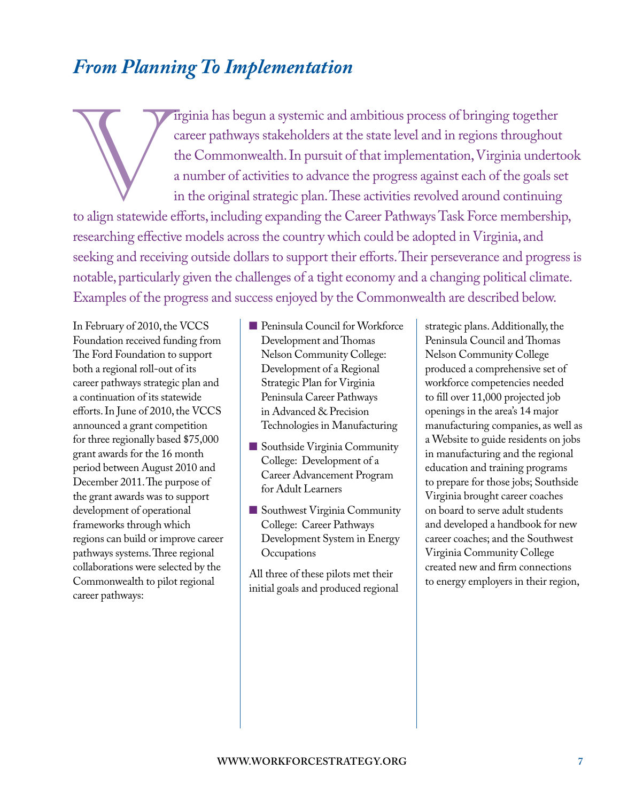# <span id="page-8-0"></span>*From Planning To Implementation*

Trginia has begun a systemic and ambitious process of bringing together<br>
career pathways stakeholders at the state level and in regions throughout<br>
the Commonwealth. In pursuit of that implementation, Virginia undertoo<br>
a career pathways stakeholders at the state level and in regions throughout the Commonwealth. In pursuit of that implementation, Virginia undertook a number of activities to advance the progress against each of the goals set in the original strategic plan. These activities revolved around continuing researching effective models across the country which could be adopted in Virginia, and seeking and receiving outside dollars to support their efforts. Their perseverance and progress is notable, particularly given the challenges of a tight economy and a changing political climate. Examples of the progress and success enjoyed by the Commonwealth are described below.

In February of 2010, the VCCS Foundation received funding from The Ford Foundation to support both a regional roll-out of its career pathways strategic plan and a continuation of its statewide efforts. In June of 2010, the VCCS announced a grant competition for three regionally based \$75,000 grant awards for the 16 month period between August 2010 and December 2011. The purpose of the grant awards was to support development of operational frameworks through which regions can build or improve career pathways systems. Three regional collaborations were selected by the Commonwealth to pilot regional career pathways:

- n Peninsula Council for Workforce Development and Thomas Nelson Community College: Development of a Regional Strategic Plan for Virginia Peninsula Career Pathways in Advanced & Precision Technologies in Manufacturing
- Southside Virginia Community College: Development of a Career Advancement Program for Adult Learners
- Southwest Virginia Community College: Career Pathways Development System in Energy **Occupations**

All three of these pilots met their initial goals and produced regional

strategic plans. Additionally, the Peninsula Council and Thomas Nelson Community College produced a comprehensive set of workforce competencies needed to fill over 11,000 projected job openings in the area's 14 major manufacturing companies, as well as a Website to guide residents on jobs in manufacturing and the regional education and training programs to prepare for those jobs; Southside Virginia brought career coaches on board to serve adult students and developed a handbook for new career coaches; and the Southwest Virginia Community College created new and firm connections to energy employers in their region,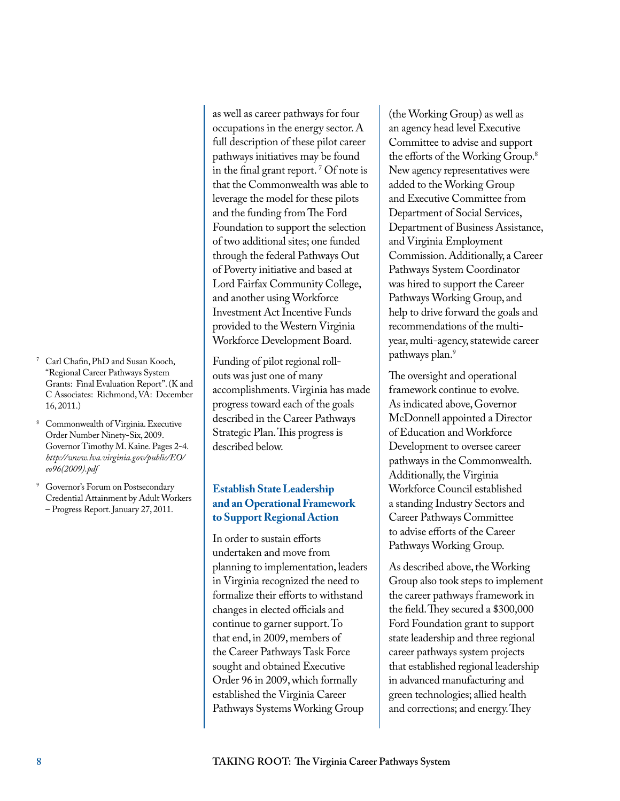- <sup>7</sup> Carl Chafin, PhD and Susan Kooch, "Regional Career Pathways System Grants: Final Evaluation Report". (K and C Associates: Richmond, VA: December 16, 2011.)
- <sup>8</sup> Commonwealth of Virginia. Executive Order Number Ninety-Six, 2009. [Governor Timothy M. Kaine. Pages 2-4.](http://www.lva.virginia.gov/public/EO/eo96(2009).pdf)  *http://www.lva.virginia.gov/public/EO/ eo96(2009).pdf*
- <sup>9</sup> Governor's Forum on Postsecondary Credential Attainment by Adult Workers – Progress Report. January 27, 2011.

as well as career pathways for four occupations in the energy sector. A full description of these pilot career pathways initiatives may be found in the final grant report. 7 Of note is that the Commonwealth was able to leverage the model for these pilots and the funding from The Ford Foundation to support the selection of two additional sites; one funded through the federal Pathways Out of Poverty initiative and based at Lord Fairfax Community College, and another using Workforce Investment Act Incentive Funds provided to the Western Virginia Workforce Development Board.

Funding of pilot regional rollouts was just one of many accomplishments. Virginia has made progress toward each of the goals described in the Career Pathways Strategic Plan. This progress is described below.

#### **Establish State Leadership and an Operational Framework to Support Regional Action**

In order to sustain efforts undertaken and move from planning to implementation, leaders in Virginia recognized the need to formalize their efforts to withstand changes in elected officials and continue to garner support. To that end, in 2009, members of the Career Pathways Task Force sought and obtained Executive Order 96 in 2009, which formally established the Virginia Career Pathways Systems Working Group

(the Working Group) as well as an agency head level Executive Committee to advise and support the efforts of the Working Group.8 New agency representatives were added to the Working Group and Executive Committee from Department of Social Services, Department of Business Assistance, and Virginia Employment Commission. Additionally, a Career Pathways System Coordinator was hired to support the Career Pathways Working Group, and help to drive forward the goals and recommendations of the multiyear, multi-agency, statewide career pathways plan.<sup>9</sup>

The oversight and operational framework continue to evolve. As indicated above, Governor McDonnell appointed a Director of Education and Workforce Development to oversee career pathways in the Commonwealth. Additionally, the Virginia Workforce Council established a standing Industry Sectors and Career Pathways Committee to advise efforts of the Career Pathways Working Group.

As described above, the Working Group also took steps to implement the career pathways framework in the field. They secured a \$300,000 Ford Foundation grant to support state leadership and three regional career pathways system projects that established regional leadership in advanced manufacturing and green technologies; allied health and corrections; and energy. They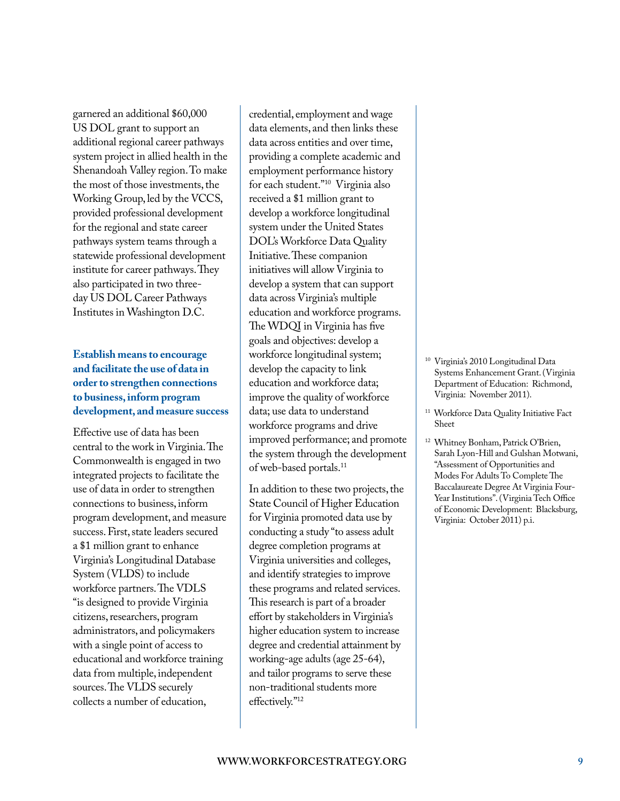garnered an additional \$60,000 US DOL grant to support an additional regional career pathways system project in allied health in the Shenandoah Valley region. To make the most of those investments, the Working Group, led by the VCCS, provided professional development for the regional and state career pathways system teams through a statewide professional development institute for career pathways. They also participated in two threeday US DOL Career Pathways Institutes in Washington D.C.

### **Establish means to encourage and facilitate the use of data in order to strengthen connections to business, inform program development, and measure success**

Effective use of data has been central to the work in Virginia. The Commonwealth is engaged in two integrated projects to facilitate the use of data in order to strengthen connections to business, inform program development, and measure success. First, state leaders secured a \$1 million grant to enhance Virginia's Longitudinal Database System (VLDS) to include workforce partners. The VDLS "is designed to provide Virginia citizens, researchers, program administrators, and policymakers with a single point of access to educational and workforce training data from multiple, independent sources. The VLDS securely collects a number of education,

credential, employment and wage data elements, and then links these data across entities and over time, providing a complete academic and employment performance history for each student."10 Virginia also received a \$1 million grant to develop a workforce longitudinal system under the United States DOL's Workforce Data Quality Initiative. These companion initiatives will allow Virginia to develop a system that can support data across Virginia's multiple education and workforce programs. The WDQI in Virginia has five goals and objectives: develop a workforce longitudinal system; develop the capacity to link education and workforce data; improve the quality of workforce data; use data to understand workforce programs and drive improved performance; and promote the system through the development of web-based portals.11

In addition to these two projects, the State Council of Higher Education for Virginia promoted data use by conducting a study "to assess adult degree completion programs at Virginia universities and colleges, and identify strategies to improve these programs and related services. This research is part of a broader effort by stakeholders in Virginia's higher education system to increase degree and credential attainment by working-age adults (age 25-64), and tailor programs to serve these non-traditional students more effectively."12

- Virginia's 2010 Longitudinal Data Systems Enhancement Grant. (Virginia Department of Education: Richmond, Virginia: November 2011).
- <sup>11</sup> Workforce Data Quality Initiative Fact Sheet
- <sup>12</sup> Whitney Bonham, Patrick O'Brien, Sarah Lyon-Hill and Gulshan Motwani, "Assessment of Opportunities and Modes For Adults To Complete The Baccalaureate Degree At Virginia Four-Year Institutions". (Virginia Tech Office of Economic Development: Blacksburg, Virginia: October 2011) p.i.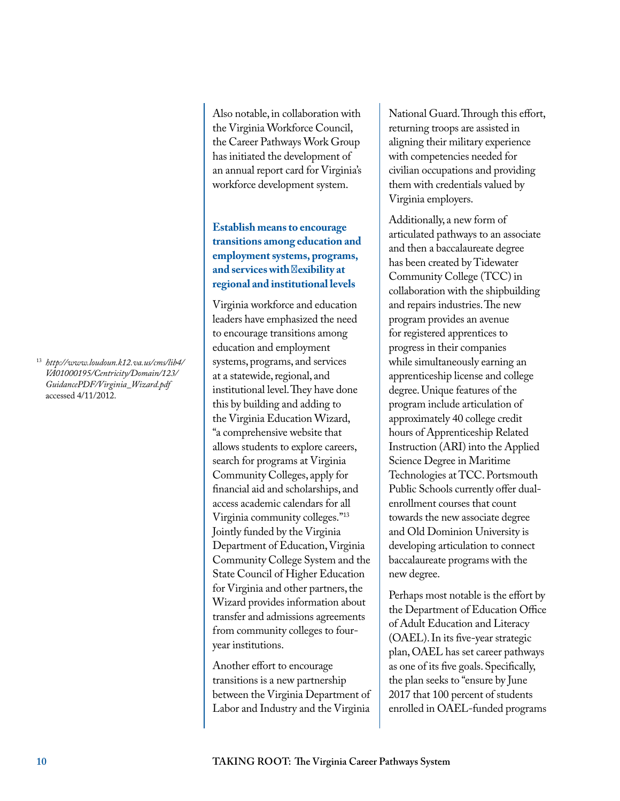<sup>13</sup> *[http://www.loudoun.k12.va.us/cms/lib4/](http://www.loudoun.k12.va.us/cms/lib4/VA01000195/Centricity/Domain/123/GuidancePDF/Virginia_Wizard.pdf) VA01000195/Centricity/Domain/123/ GuidancePDF/Virginia\_Wizard.pdf* accessed 4/11/2012.

Also notable, in collaboration with the Virginia Workforce Council, the Career Pathways Work Group has initiated the development of an annual report card for Virginia's workforce development system.

### **Establish means to encourage transitions among education and employment systems, programs,**  and services with f exibility at **regional and institutional levels**

Virginia workforce and education leaders have emphasized the need to encourage transitions among education and employment systems, programs, and services at a statewide, regional, and institutional level. They have done this by building and adding to the Virginia Education Wizard, "a comprehensive website that allows students to explore careers, search for programs at Virginia Community Colleges, apply for financial aid and scholarships, and access academic calendars for all Virginia community colleges."13 Jointly funded by the Virginia Department of Education, Virginia Community College System and the State Council of Higher Education for Virginia and other partners, the Wizard provides information about transfer and admissions agreements from community colleges to fouryear institutions.

Another effort to encourage transitions is a new partnership between the Virginia Department of Labor and Industry and the Virginia

National Guard. Through this effort, returning troops are assisted in aligning their military experience with competencies needed for civilian occupations and providing them with credentials valued by Virginia employers.

Additionally, a new form of articulated pathways to an associate and then a baccalaureate degree has been created by Tidewater Community College (TCC) in collaboration with the shipbuilding and repairs industries. The new program provides an avenue for registered apprentices to progress in their companies while simultaneously earning an apprenticeship license and college degree. Unique features of the program include articulation of approximately 40 college credit hours of Apprenticeship Related Instruction (ARI) into the Applied Science Degree in Maritime Technologies at TCC. Portsmouth Public Schools currently offer dualenrollment courses that count towards the new associate degree and Old Dominion University is developing articulation to connect baccalaureate programs with the new degree.

Perhaps most notable is the effort by the Department of Education Office of Adult Education and Literacy (OAEL). In its five-year strategic plan, OAEL has set career pathways as one of its five goals. Specifically, the plan seeks to "ensure by June 2017 that 100 percent of students enrolled in OAEL-funded programs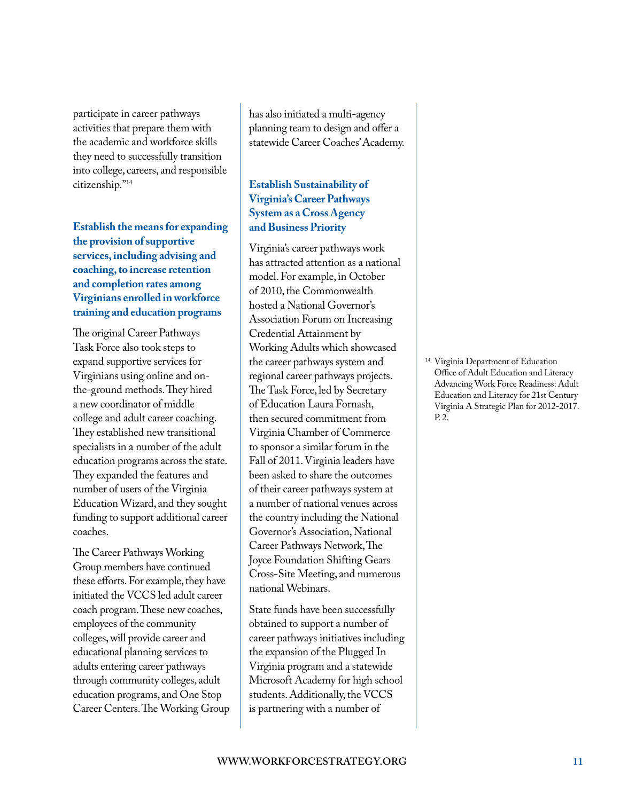participate in career pathways activities that prepare them with the academic and workforce skills they need to successfully transition into college, careers, and responsible citizenship."14

**Establish the means for expanding the provision of supportive services, including advising and coaching, to increase retention and completion rates among Virginians enrolled in workforce training and education programs**

The original Career Pathways Task Force also took steps to expand supportive services for Virginians using online and onthe-ground methods. They hired a new coordinator of middle college and adult career coaching. They established new transitional specialists in a number of the adult education programs across the state. They expanded the features and number of users of the Virginia Education Wizard, and they sought funding to support additional career coaches.

The Career Pathways Working Group members have continued these efforts. For example, they have initiated the VCCS led adult career coach program. These new coaches, employees of the community colleges, will provide career and educational planning services to adults entering career pathways through community colleges, adult education programs, and One Stop Career Centers. The Working Group has also initiated a multi-agency planning team to design and offer a statewide Career Coaches' Academy.

### **Establish Sustainability of Virginia's Career Pathways System as a Cross Agency and Business Priority**

Virginia's career pathways work has attracted attention as a national model. For example, in October of 2010, the Commonwealth hosted a National Governor's Association Forum on Increasing Credential Attainment by Working Adults which showcased the career pathways system and regional career pathways projects. The Task Force, led by Secretary of Education Laura Fornash, then secured commitment from Virginia Chamber of Commerce to sponsor a similar forum in the Fall of 2011. Virginia leaders have been asked to share the outcomes of their career pathways system at a number of national venues across the country including the National Governor's Association, National Career Pathways Network, The Joyce Foundation Shifting Gears Cross-Site Meeting, and numerous national Webinars.

State funds have been successfully obtained to support a number of career pathways initiatives including the expansion of the Plugged In Virginia program and a statewide Microsoft Academy for high school students. Additionally, the VCCS is partnering with a number of

Virginia Department of Education Office of Adult Education and Literacy Advancing Work Force Readiness: Adult Education and Literacy for 21st Century Virginia A Strategic Plan for 2012-2017. P. 2.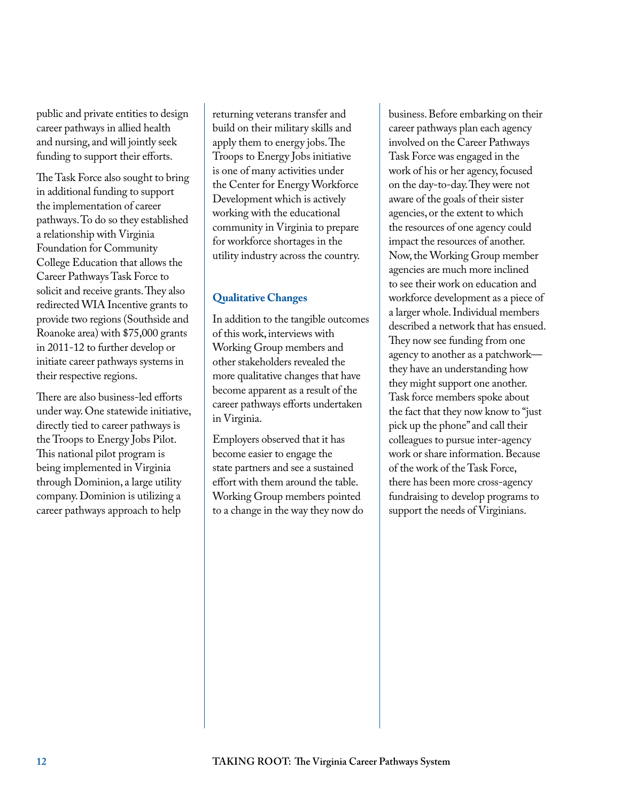public and private entities to design career pathways in allied health and nursing, and will jointly seek funding to support their efforts.

The Task Force also sought to bring in additional funding to support the implementation of career pathways. To do so they established a relationship with Virginia Foundation for Community College Education that allows the Career Pathways Task Force to solicit and receive grants. They also redirected WIA Incentive grants to provide two regions (Southside and Roanoke area) with \$75,000 grants in 2011-12 to further develop or initiate career pathways systems in their respective regions.

There are also business-led efforts under way. One statewide initiative, directly tied to career pathways is the Troops to Energy Jobs Pilot. This national pilot program is being implemented in Virginia through Dominion, a large utility company. Dominion is utilizing a career pathways approach to help

returning veterans transfer and build on their military skills and apply them to energy jobs. The Troops to Energy Jobs initiative is one of many activities under the Center for Energy Workforce Development which is actively working with the educational community in Virginia to prepare for workforce shortages in the utility industry across the country.

### **Qualitative Changes**

In addition to the tangible outcomes of this work, interviews with Working Group members and other stakeholders revealed the more qualitative changes that have become apparent as a result of the career pathways efforts undertaken in Virginia.

Employers observed that it has become easier to engage the state partners and see a sustained effort with them around the table. Working Group members pointed to a change in the way they now do business. Before embarking on their career pathways plan each agency involved on the Career Pathways Task Force was engaged in the work of his or her agency, focused on the day-to-day. They were not aware of the goals of their sister agencies, or the extent to which the resources of one agency could impact the resources of another. Now, the Working Group member agencies are much more inclined to see their work on education and workforce development as a piece of a larger whole. Individual members described a network that has ensued. They now see funding from one agency to another as a patchwork they have an understanding how they might support one another. Task force members spoke about the fact that they now know to "just pick up the phone" and call their colleagues to pursue inter-agency work or share information. Because of the work of the Task Force, there has been more cross-agency fundraising to develop programs to support the needs of Virginians.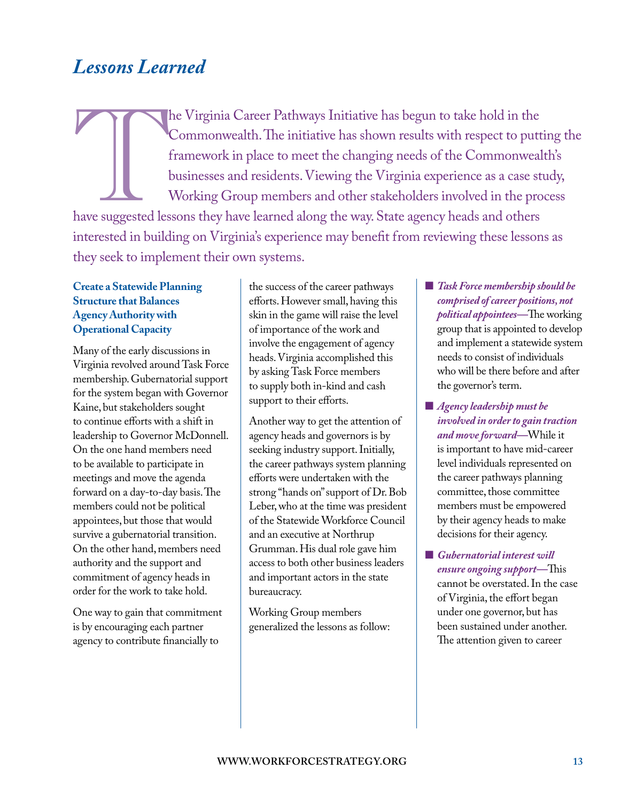# <span id="page-14-0"></span>*Lessons Learned*

The Virginia Career Pathways Initiative has begun to take hold in the Commonwealth. The initiative has shown results with respect to putt framework in place to meet the changing needs of the Commonweal businesses and resid Commonwealth. The initiative has shown results with respect to putting the framework in place to meet the changing needs of the Commonwealth's businesses and residents. Viewing the Virginia experience as a case study, Working Group members and other stakeholders involved in the process have suggested lessons they have learned along the way. State agency heads and others interested in building on Virginia's experience may benefit from reviewing these lessons as they seek to implement their own systems.

### **Create a Statewide Planning Structure that Balances Agency Authority with Operational Capacity**

Many of the early discussions in Virginia revolved around Task Force membership. Gubernatorial support for the system began with Governor Kaine, but stakeholders sought to continue efforts with a shift in leadership to Governor McDonnell. On the one hand members need to be available to participate in meetings and move the agenda forward on a day-to-day basis. The members could not be political appointees, but those that would survive a gubernatorial transition. On the other hand, members need authority and the support and commitment of agency heads in order for the work to take hold.

One way to gain that commitment is by encouraging each partner agency to contribute financially to

the success of the career pathways efforts. However small, having this skin in the game will raise the level of importance of the work and involve the engagement of agency heads. Virginia accomplished this by asking Task Force members to supply both in-kind and cash support to their efforts.

Another way to get the attention of agency heads and governors is by seeking industry support. Initially, the career pathways system planning efforts were undertaken with the strong "hands on" support of Dr. Bob Leber, who at the time was president of the Statewide Workforce Council and an executive at Northrup Grumman. His dual role gave him access to both other business leaders and important actors in the state bureaucracy.

Working Group members generalized the lessons as follow:

- *Task Force membership should be comprised of career positions, not political appointees—*The working group that is appointed to develop and implement a statewide system needs to consist of individuals who will be there before and after the governor's term.
- **n** *Agency leadership must be involved in order to gain traction and move forward—*While it is important to have mid-career level individuals represented on the career pathways planning committee, those committee members must be empowered by their agency heads to make decisions for their agency.
- **n** *Gubernatorial interest will ensure ongoing support—*This cannot be overstated. In the case of Virginia, the effort began under one governor, but has been sustained under another. The attention given to career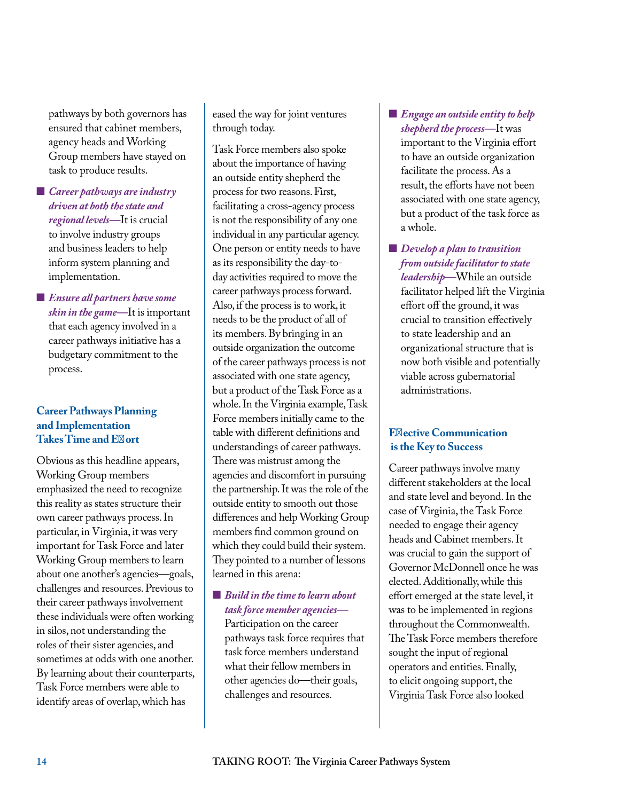pathways by both governors has ensured that cabinet members, agency heads and Working Group members have stayed on task to produce results.

- *Career pathways are industry driven at both the state and regional levels—*It is crucial to involve industry groups and business leaders to help inform system planning and implementation.
- **E** *Ensure all partners have some skin in the game—*It is important that each agency involved in a career pathways initiative has a budgetary commitment to the process.

#### **Career Pathways Planning and Implementation Takes Time and Ef ort**

Obvious as this headline appears, Working Group members emphasized the need to recognize this reality as states structure their own career pathways process. In particular, in Virginia, it was very important for Task Force and later Working Group members to learn about one another's agencies—goals, challenges and resources. Previous to their career pathways involvement these individuals were often working in silos, not understanding the roles of their sister agencies, and sometimes at odds with one another. By learning about their counterparts, Task Force members were able to identify areas of overlap, which has

eased the way for joint ventures through today.

Task Force members also spoke about the importance of having an outside entity shepherd the process for two reasons. First, facilitating a cross-agency process is not the responsibility of any one individual in any particular agency. One person or entity needs to have as its responsibility the day-today activities required to move the career pathways process forward. Also, if the process is to work, it needs to be the product of all of its members. By bringing in an outside organization the outcome of the career pathways process is not associated with one state agency, but a product of the Task Force as a whole. In the Virginia example, Task Force members initially came to the table with different definitions and understandings of career pathways. There was mistrust among the agencies and discomfort in pursuing the partnership. It was the role of the outside entity to smooth out those differences and help Working Group members find common ground on which they could build their system. They pointed to a number of lessons learned in this arena:

#### ■ *Build in the time to learn about task force member agencies—*

Participation on the career pathways task force requires that task force members understand what their fellow members in other agencies do—their goals, challenges and resources.

- **E** Engage an outside entity to help *shepherd the process—*It was important to the Virginia effort to have an outside organization facilitate the process. As a result, the efforts have not been associated with one state agency, but a product of the task force as a whole.
- *Develop a plan to transition from outside facilitator to state leadership—*While an outside facilitator helped lift the Virginia effort off the ground, it was crucial to transition effectively to state leadership and an organizational structure that is now both visible and potentially viable across gubernatorial administrations.

### **Ef** ective Communication  **is the Key to Success**

Career pathways involve many different stakeholders at the local and state level and beyond. In the case of Virginia, the Task Force needed to engage their agency heads and Cabinet members. It was crucial to gain the support of Governor McDonnell once he was elected. Additionally, while this effort emerged at the state level, it was to be implemented in regions throughout the Commonwealth. The Task Force members therefore sought the input of regional operators and entities. Finally, to elicit ongoing support, the Virginia Task Force also looked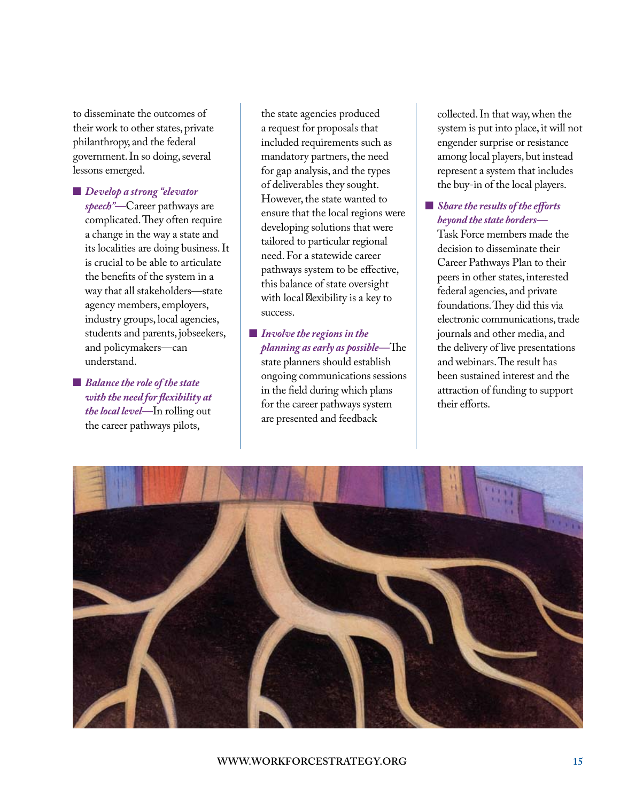to disseminate the outcomes of their work to other states, private philanthropy, and the federal government. In so doing, several lessons emerged.

- **n** *Develop a strong "elevator speech"—*Career pathways are complicated. They often require a change in the way a state and its localities are doing business. It is crucial to be able to articulate the benefits of the system in a way that all stakeholders—state agency members, employers, industry groups, local agencies, students and parents, jobseekers, and policymakers—can understand.
- $\blacksquare$  *Balance the role of the state with the need for flexibility at the local level—*In rolling out the career pathways pilots,

the state agencies produced a request for proposals that included requirements such as mandatory partners, the need for gap analysis, and the types of deliverables they sought. However, the state wanted to ensure that the local regions were developing solutions that were tailored to particular regional need. For a statewide career pathways system to be effective, this balance of state oversight with local f exibility is a key to success.

**n** *Involve the regions in the planning as early as possible—*The state planners should establish ongoing communications sessions in the field during which plans for the career pathways system are presented and feedback

collected. In that way, when the system is put into place, it will not engender surprise or resistance among local players, but instead represent a system that includes the buy-in of the local players.

### ■ *Share the results of the efforts beyond the state borders—*

Task Force members made the decision to disseminate their Career Pathways Plan to their peers in other states, interested federal agencies, and private foundations. They did this via electronic communications, trade journals and other media, and the delivery of live presentations and webinars. The result has been sustained interest and the attraction of funding to support their efforts.